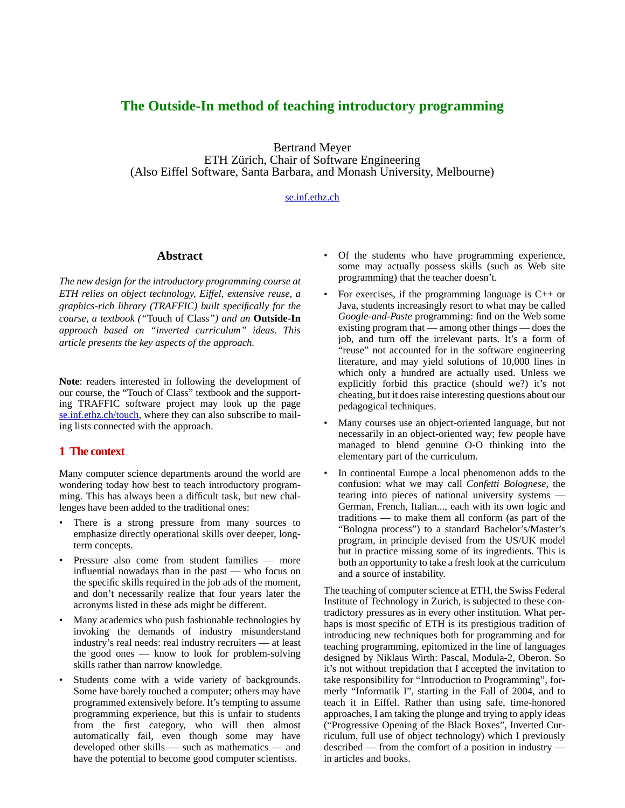# **The Outside-In method of teaching introductory programming**

Bertrand Meyer ETH Zürich, Chair of Software Engineering (Also Eiffel Software, Santa Barbara, and Monash University, Melbourne)

### [se.inf.ethz.ch](http://se.inf.ethz.ch)

#### **Abstract**

*The new design for the introductory programming course at ETH relies on object technology, Eiffel, extensive reuse, a graphics-rich library (TRAFFIC) built specifically for the course, a textbook ("*Touch of Class*") and an* **Outside-In** *approach based on "inverted curriculum" ideas. This article presents the key aspects of the approach.*

**Note**: readers interested in following the development of our course, the "Touch of Class" textbook and the supporting TRAFFIC software project may look up the page <se.inf.ethz.ch/touch>, where they can also subscribe to mailing lists connected with the approach.

## **1 The context**

Many computer science departments around the world are wondering today how best to teach introductory programming. This has always been a difficult task, but new challenges have been added to the traditional ones:

- There is a strong pressure from many sources to emphasize directly operational skills over deeper, longterm concepts.
- Pressure also come from student families more influential nowadays than in the past — who focus on the specific skills required in the job ads of the moment, and don't necessarily realize that four years later the acronyms listed in these ads might be different.
- Many academics who push fashionable technologies by invoking the demands of industry misunderstand industry's real needs: real industry recruiters — at least the good ones — know to look for problem-solving skills rather than narrow knowledge.
- Students come with a wide variety of backgrounds. Some have barely touched a computer; others may have programmed extensively before. It's tempting to assume programming experience, but this is unfair to students from the first category, who will then almost automatically fail, even though some may have developed other skills — such as mathematics — and have the potential to become good computer scientists.
- Of the students who have programming experience, some may actually possess skills (such as Web site programming) that the teacher doesn't.
- For exercises, if the programming language is  $C_{++}$  or Java, students increasingly resort to what may be called *Google-and-Paste* programming: find on the Web some existing program that — among other things — does the job, and turn off the irrelevant parts. It's a form of "reuse" not accounted for in the software engineering literature, and may yield solutions of 10,000 lines in which only a hundred are actually used. Unless we explicitly forbid this practice (should we?) it's not cheating, but it does raise interesting questions about our pedagogical techniques.
- Many courses use an object-oriented language, but not necessarily in an object-oriented way; few people have managed to blend genuine O-O thinking into the elementary part of the curriculum.
- In continental Europe a local phenomenon adds to the confusion: what we may call *Confetti Bolognese*, the tearing into pieces of national university systems — German, French, Italian..., each with its own logic and traditions — to make them all conform (as part of the "Bologna process") to a standard Bachelor's/Master's program, in principle devised from the US/UK model but in practice missing some of its ingredients. This is both an opportunity to take a fresh look at the curriculum and a source of instability.

The teaching of computer science at ETH, the Swiss Federal Institute of Technology in Zurich, is subjected to these contradictory pressures as in every other institution. What perhaps is most specific of ETH is its prestigious tradition of introducing new techniques both for programming and for teaching programming, epitomized in the line of languages designed by Niklaus Wirth: Pascal, Modula-2, Oberon. So it's not without trepidation that I accepted the invitation to take responsibility for "Introduction to Programming", formerly "Informatik I", starting in the Fall of 2004, and to teach it in Eiffel. Rather than using safe, time-honored approaches, I am taking the plunge and trying to apply ideas ("Progressive Opening of the Black Boxes", Inverted Curriculum, full use of object technology) which I previously described — from the comfort of a position in industry in articles and books.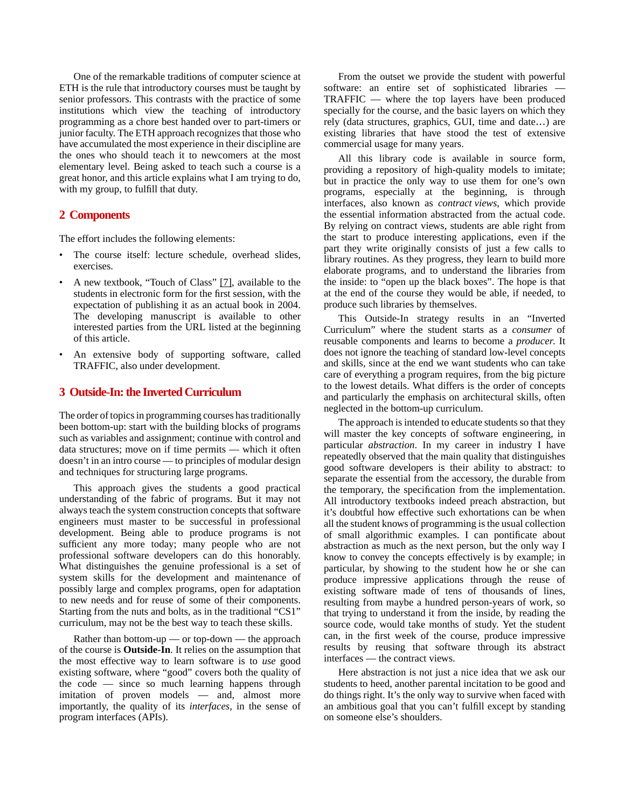One of the remarkable traditions of computer science at ETH is the rule that introductory courses must be taught by senior professors. This contrasts with the practice of some institutions which view the teaching of introductory programming as a chore best handed over to part-timers or junior faculty. The ETH approach recognizes that those who have accumulated the most experience in their discipline are the ones who should teach it to newcomers at the most elementary level. Being asked to teach such a course is a great honor, and this article explains what I am trying to do, with my group, to fulfill that duty.

### **2 Components**

The effort includes the following elements:

- The course itself: lecture schedule, overhead slides, exercises.
- A new textbook, "Touch of Class" [\[7\]](#page-6-0), available to the students in electronic form for the first session, with the expectation of publishing it as an actual book in 2004. The developing manuscript is available to other interested parties from the URL listed at the beginning of this article.
- An extensive body of supporting software, called TRAFFIC, also under development.

### **3 Outside-In: the Inverted Curriculum**

The order of topics in programming courses has traditionally been bottom-up: start with the building blocks of programs such as variables and assignment; continue with control and data structures; move on if time permits — which it often doesn't in an intro course — to principles of modular design and techniques for structuring large programs.

This approach gives the students a good practical understanding of the fabric of programs. But it may not always teach the system construction concepts that software engineers must master to be successful in professional development. Being able to produce programs is not sufficient any more today; many people who are not professional software developers can do this honorably. What distinguishes the genuine professional is a set of system skills for the development and maintenance of possibly large and complex programs, open for adaptation to new needs and for reuse of some of their components. Starting from the nuts and bolts, as in the traditional "CS1" curriculum, may not be the best way to teach these skills.

Rather than bottom-up — or top-down — the approach of the course is **Outside-In**. It relies on the assumption that the most effective way to learn software is to *use* good existing software, where "good" covers both the quality of the code — since so much learning happens through imitation of proven models — and, almost more importantly, the quality of its *interfaces*, in the sense of program interfaces (APIs).

From the outset we provide the student with powerful software: an entire set of sophisticated libraries — TRAFFIC — where the top layers have been produced specially for the course, and the basic layers on which they rely (data structures, graphics, GUI, time and date…) are existing libraries that have stood the test of extensive commercial usage for many years.

All this library code is available in source form, providing a repository of high-quality models to imitate; but in practice the only way to use them for one's own programs, especially at the beginning, is through interfaces, also known as *contract views*, which provide the essential information abstracted from the actual code. By relying on contract views, students are able right from the start to produce interesting applications, even if the part they write originally consists of just a few calls to library routines. As they progress, they learn to build more elaborate programs, and to understand the libraries from the inside: to "open up the black boxes". The hope is that at the end of the course they would be able, if needed, to produce such libraries by themselves.

This Outside-In strategy results in an "Inverted Curriculum" where the student starts as a *consumer* of reusable components and learns to become a *producer*. It does not ignore the teaching of standard low-level concepts and skills, since at the end we want students who can take care of everything a program requires, from the big picture to the lowest details. What differs is the order of concepts and particularly the emphasis on architectural skills, often neglected in the bottom-up curriculum.

The approach is intended to educate students so that they will master the key concepts of software engineering, in particular *abstraction*. In my career in industry I have repeatedly observed that the main quality that distinguishes good software developers is their ability to abstract: to separate the essential from the accessory, the durable from the temporary, the specification from the implementation. All introductory textbooks indeed preach abstraction, but it's doubtful how effective such exhortations can be when all the student knows of programming is the usual collection of small algorithmic examples. I can pontificate about abstraction as much as the next person, but the only way I know to convey the concepts effectively is by example; in particular, by showing to the student how he or she can produce impressive applications through the reuse of existing software made of tens of thousands of lines, resulting from maybe a hundred person-years of work, so that trying to understand it from the inside, by reading the source code, would take months of study. Yet the student can, in the first week of the course, produce impressive results by reusing that software through its abstract interfaces — the contract views.

Here abstraction is not just a nice idea that we ask our students to heed, another parental incitation to be good and do things right. It's the only way to survive when faced with an ambitious goal that you can't fulfill except by standing on someone else's shoulders.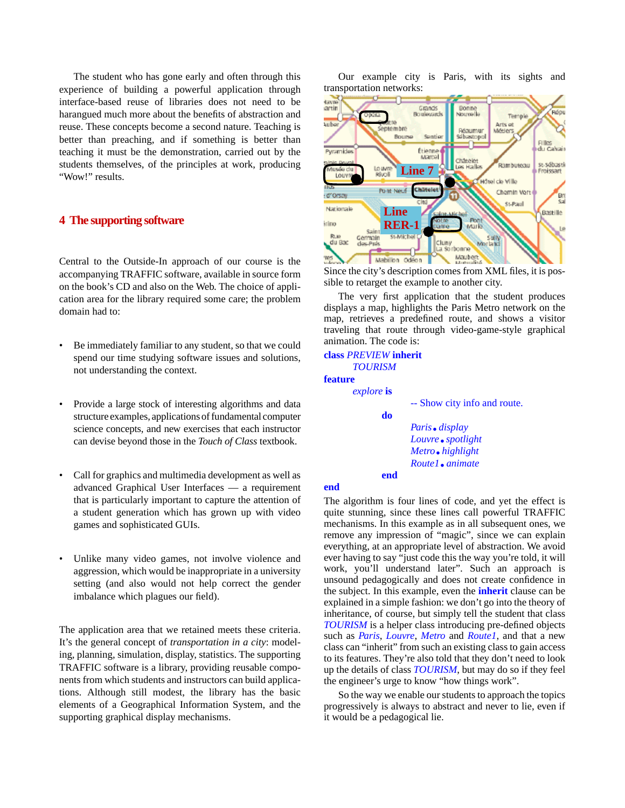The student who has gone early and often through this experience of building a powerful application through interface-based reuse of libraries does not need to be harangued much more about the benefits of abstraction and reuse. These concepts become a second nature. Teaching is better than preaching, and if something is better than teaching it must be the demonstration, carried out by the students themselves, of the principles at work, producing "Wow!" results.

### **4 The supporting software**

Central to the Outside-In approach of our course is the accompanying TRAFFIC software, available in source form on the book's CD and also on the Web. The choice of application area for the library required some care; the problem domain had to:

- Be immediately familiar to any student, so that we could spend our time studying software issues and solutions, not understanding the context.
- Provide a large stock of interesting algorithms and data structure examples, applications of fundamental computer science concepts, and new exercises that each instructor can devise beyond those in the *Touch of Class* textbook.
- Call for graphics and multimedia development as well as advanced Graphical User Interfaces — a requirement that is particularly important to capture the attention of a student generation which has grown up with video games and sophisticated GUIs.
- Unlike many video games, not involve violence and aggression, which would be inappropriate in a university setting (and also would not help correct the gender imbalance which plagues our field).

The application area that we retained meets these criteria. It's the general concept of *transportation in a city*: modeling, planning, simulation, display, statistics. The supporting TRAFFIC software is a library, providing reusable components from which students and instructors can build applications. Although still modest, the library has the basic elements of a Geographical Information System, and the supporting graphical display mechanisms.

Our example city is Paris, with its sights and transportation networks:



Since the city's description comes from XML files, it is possible to retarget the example to another city.

The very first application that the student produces displays a map, highlights the Paris Metro network on the map, retrieves a predefined route, and shows a visitor traveling that route through video-game-style graphical animation. The code is:

| class PREVIEW inherit |                                     |
|-----------------------|-------------------------------------|
| <b>TOURISM</b>        |                                     |
| <b>feature</b>        |                                     |
| <i>explore</i> is     |                                     |
|                       | -- Show city info and route.        |
| do                    |                                     |
|                       | Paris • display                     |
|                       | Louvre • spotlight                  |
|                       | Metro • highlight                   |
|                       | Route <i>L</i> <sub>o</sub> animate |
| end                   |                                     |

### **end**

The algorithm is four lines of code, and yet the effect is quite stunning, since these lines call powerful TRAFFIC mechanisms. In this example as in all subsequent ones, we remove any impression of "magic", since we can explain everything, at an appropriate level of abstraction. We avoid ever having to say "just code this the way you're told, it will work, you'll understand later". Such an approach is unsound pedagogically and does not create confidence in the subject. In this example, even the **inherit** clause can be explained in a simple fashion: we don't go into the theory of inheritance, of course, but simply tell the student that class *TOURISM* is a helper class introducing pre-defined objects such as *Paris*, *Louvre*, *Metro* and *Route1*, and that a new class can "inherit" from such an existing class to gain access to its features. They're also told that they don't need to look up the details of class *TOURISM*, but may do so if they feel the engineer's urge to know "how things work".

So the way we enable our students to approach the topics progressively is always to abstract and never to lie, even if it would be a pedagogical lie.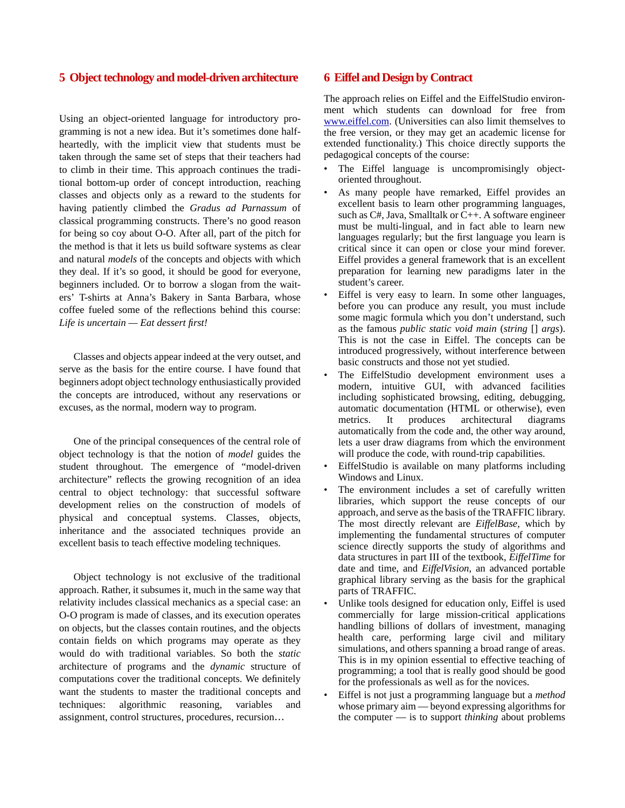## **5 Object technology and model-driven architecture**

Using an object-oriented language for introductory programming is not a new idea. But it's sometimes done halfheartedly, with the implicit view that students must be taken through the same set of steps that their teachers had to climb in their time. This approach continues the traditional bottom-up order of concept introduction, reaching classes and objects only as a reward to the students for having patiently climbed the *Gradus ad Parnassum* of classical programming constructs. There's no good reason for being so coy about O-O. After all, part of the pitch for the method is that it lets us build software systems as clear and natural *models* of the concepts and objects with which they deal. If it's so good, it should be good for everyone, beginners included. Or to borrow a slogan from the waiters' T-shirts at Anna's Bakery in Santa Barbara, whose coffee fueled some of the reflections behind this course: *Life is uncertain — Eat dessert first!*

Classes and objects appear indeed at the very outset, and serve as the basis for the entire course. I have found that beginners adopt object technology enthusiastically provided the concepts are introduced, without any reservations or excuses, as the normal, modern way to program.

One of the principal consequences of the central role of object technology is that the notion of *model* guides the student throughout. The emergence of "model-driven architecture" reflects the growing recognition of an idea central to object technology: that successful software development relies on the construction of models of physical and conceptual systems. Classes, objects, inheritance and the associated techniques provide an excellent basis to teach effective modeling techniques.

Object technology is not exclusive of the traditional approach. Rather, it subsumes it, much in the same way that relativity includes classical mechanics as a special case: an O-O program is made of classes, and its execution operates on objects, but the classes contain routines, and the objects contain fields on which programs may operate as they would do with traditional variables. So both the *static* architecture of programs and the *dynamic* structure of computations cover the traditional concepts. We definitely want the students to master the traditional concepts and techniques: algorithmic reasoning, variables and assignment, control structures, procedures, recursion…

## **6 Eiffel and Design by Contract**

The approach relies on Eiffel and the EiffelStudio environment which students can download for free from <www.eiffel.com>. (Universities can also limit themselves to the free version, or they may get an academic license for extended functionality.) This choice directly supports the pedagogical concepts of the course:

- The Eiffel language is uncompromisingly objectoriented throughout.
- As many people have remarked, Eiffel provides an excellent basis to learn other programming languages, such as  $C#$ , Java, Smalltalk or  $C++$ . A software engineer must be multi-lingual, and in fact able to learn new languages regularly; but the first language you learn is critical since it can open or close your mind forever. Eiffel provides a general framework that is an excellent preparation for learning new paradigms later in the student's career.
- Eiffel is very easy to learn. In some other languages, before you can produce any result, you must include some magic formula which you don't understand, such as the famous *public static void main* (*string* [] *args*). This is not the case in Eiffel. The concepts can be introduced progressively, without interference between basic constructs and those not yet studied.
- The EiffelStudio development environment uses a modern, intuitive GUI, with advanced facilities including sophisticated browsing, editing, debugging, automatic documentation (HTML or otherwise), even metrics. It produces architectural diagrams automatically from the code and, the other way around, lets a user draw diagrams from which the environment will produce the code, with round-trip capabilities.
- EiffelStudio is available on many platforms including Windows and Linux.
- The environment includes a set of carefully written libraries, which support the reuse concepts of our approach, and serve as the basis of the TRAFFIC library. The most directly relevant are *EiffelBase*, which by implementing the fundamental structures of computer science directly supports the study of algorithms and data structures in part III of the textbook, *EiffelTime* for date and time, and *EiffelVision*, an advanced portable graphical library serving as the basis for the graphical parts of TRAFFIC.
- Unlike tools designed for education only, Eiffel is used commercially for large mission-critical applications handling billions of dollars of investment, managing health care, performing large civil and military simulations, and others spanning a broad range of areas. This is in my opinion essential to effective teaching of programming; a tool that is really good should be good for the professionals as well as for the novices.
- Eiffel is not just a programming language but a *method* whose primary aim — beyond expressing algorithms for the computer — is to support *thinking* about problems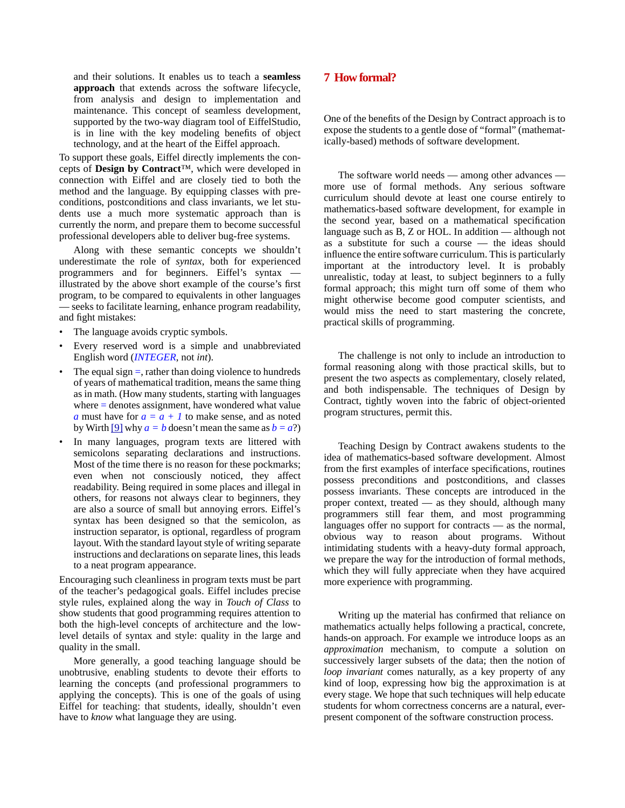and their solutions. It enables us to teach a **seamless approach** that extends across the software lifecycle, from analysis and design to implementation and maintenance. This concept of seamless development, supported by the two-way diagram tool of EiffelStudio, is in line with the key modeling benefits of object technology, and at the heart of the Eiffel approach.

To support these goals, Eiffel directly implements the concepts of **Design by Contract**™, which were developed in connection with Eiffel and are closely tied to both the method and the language. By equipping classes with preconditions, postconditions and class invariants, we let students use a much more systematic approach than is currently the norm, and prepare them to become successful professional developers able to deliver bug-free systems.

Along with these semantic concepts we shouldn't underestimate the role of *syntax*, both for experienced programmers and for beginners. Eiffel's syntax illustrated by the above short example of the course's first program, to be compared to equivalents in other languages — seeks to facilitate learning, enhance program readability, and fight mistakes:

- The language avoids cryptic symbols.
- Every reserved word is a simple and unabbreviated English word (*INTEGER*, not *int*).
- The equal sign  $=$ , rather than doing violence to hundreds of years of mathematical tradition, means the same thing as in math. (How many students, starting with languages where = denotes assignment, have wondered what value *a* must have for  $a = a + 1$  to make sense, and as noted by Wirth [\[9\]](#page-6-1) why  $a = b$  doesn't mean the same as  $b = a$ ?)
- In many languages, program texts are littered with semicolons separating declarations and instructions. Most of the time there is no reason for these pockmarks; even when not consciously noticed, they affect readability. Being required in some places and illegal in others, for reasons not always clear to beginners, they are also a source of small but annoying errors. Eiffel's syntax has been designed so that the semicolon, as instruction separator, is optional, regardless of program layout. With the standard layout style of writing separate instructions and declarations on separate lines, this leads to a neat program appearance.

Encouraging such cleanliness in program texts must be part of the teacher's pedagogical goals. Eiffel includes precise style rules, explained along the way in *Touch of Class* to show students that good programming requires attention to both the high-level concepts of architecture and the lowlevel details of syntax and style: quality in the large and quality in the small.

More generally, a good teaching language should be unobtrusive, enabling students to devote their efforts to learning the concepts (and professional programmers to applying the concepts). This is one of the goals of using Eiffel for teaching: that students, ideally, shouldn't even have to *know* what language they are using.

### **7 How formal?**

One of the benefits of the Design by Contract approach is to expose the students to a gentle dose of "formal" (mathematically-based) methods of software development.

The software world needs — among other advances more use of formal methods. Any serious software curriculum should devote at least one course entirely to mathematics-based software development, for example in the second year, based on a mathematical specification language such as B, Z or HOL. In addition — although not as a substitute for such a course — the ideas should influence the entire software curriculum. This is particularly important at the introductory level. It is probably unrealistic, today at least, to subject beginners to a fully formal approach; this might turn off some of them who might otherwise become good computer scientists, and would miss the need to start mastering the concrete, practical skills of programming.

The challenge is not only to include an introduction to formal reasoning along with those practical skills, but to present the two aspects as complementary, closely related, and both indispensable. The techniques of Design by Contract, tightly woven into the fabric of object-oriented program structures, permit this.

Teaching Design by Contract awakens students to the idea of mathematics-based software development. Almost from the first examples of interface specifications, routines possess preconditions and postconditions, and classes possess invariants. These concepts are introduced in the proper context, treated — as they should, although many programmers still fear them, and most programming languages offer no support for contracts — as the normal, obvious way to reason about programs. Without intimidating students with a heavy-duty formal approach, we prepare the way for the introduction of formal methods, which they will fully appreciate when they have acquired more experience with programming.

Writing up the material has confirmed that reliance on mathematics actually helps following a practical, concrete, hands-on approach. For example we introduce loops as an *approximation* mechanism, to compute a solution on successively larger subsets of the data; then the notion of *loop invariant* comes naturally, as a key property of any kind of loop, expressing how big the approximation is at every stage. We hope that such techniques will help educate students for whom correctness concerns are a natural, everpresent component of the software construction process.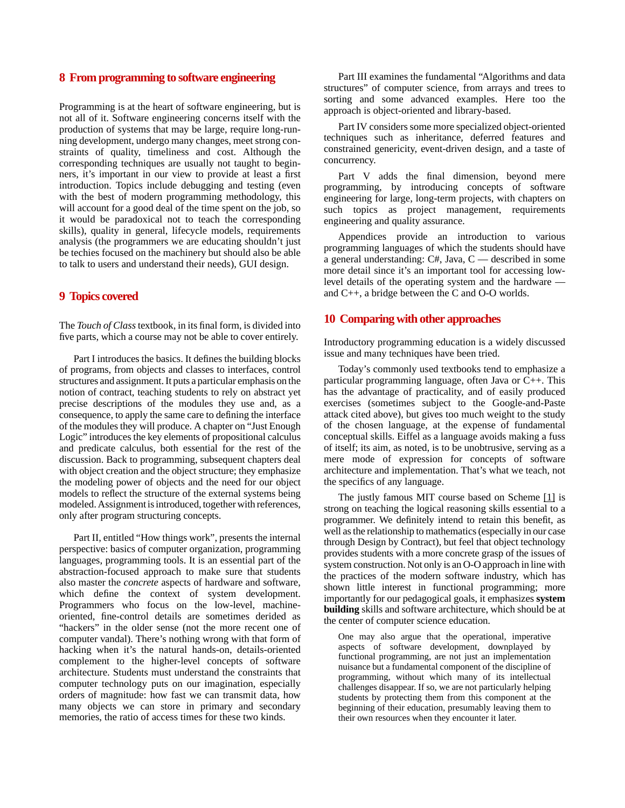### **8 From programming to software engineering**

Programming is at the heart of software engineering, but is not all of it. Software engineering concerns itself with the production of systems that may be large, require long-running development, undergo many changes, meet strong constraints of quality, timeliness and cost. Although the corresponding techniques are usually not taught to beginners, it's important in our view to provide at least a first introduction. Topics include debugging and testing (even with the best of modern programming methodology, this will account for a good deal of the time spent on the job, so it would be paradoxical not to teach the corresponding skills), quality in general, lifecycle models, requirements analysis (the programmers we are educating shouldn't just be techies focused on the machinery but should also be able to talk to users and understand their needs), GUI design.

#### **9 Topics covered**

The *Touch of Class*textbook, in its final form, is divided into five parts, which a course may not be able to cover entirely.

Part I introduces the basics. It defines the building blocks of programs, from objects and classes to interfaces, control structures and assignment. It puts a particular emphasis on the notion of contract, teaching students to rely on abstract yet precise descriptions of the modules they use and, as a consequence, to apply the same care to defining the interface of the modules they will produce. A chapter on "Just Enough Logic" introduces the key elements of propositional calculus and predicate calculus, both essential for the rest of the discussion. Back to programming, subsequent chapters deal with object creation and the object structure; they emphasize the modeling power of objects and the need for our object models to reflect the structure of the external systems being modeled. Assignment is introduced, together with references, only after program structuring concepts.

Part II, entitled "How things work", presents the internal perspective: basics of computer organization, programming languages, programming tools. It is an essential part of the abstraction-focused approach to make sure that students also master the *concrete* aspects of hardware and software, which define the context of system development. Programmers who focus on the low-level, machineoriented, fine-control details are sometimes derided as "hackers" in the older sense (not the more recent one of computer vandal). There's nothing wrong with that form of hacking when it's the natural hands-on, details-oriented complement to the higher-level concepts of software architecture. Students must understand the constraints that computer technology puts on our imagination, especially orders of magnitude: how fast we can transmit data, how many objects we can store in primary and secondary memories, the ratio of access times for these two kinds.

Part III examines the fundamental "Algorithms and data structures" of computer science, from arrays and trees to sorting and some advanced examples. Here too the approach is object-oriented and library-based.

Part IV considers some more specialized object-oriented techniques such as inheritance, deferred features and constrained genericity, event-driven design, and a taste of concurrency.

Part V adds the final dimension, beyond mere programming, by introducing concepts of software engineering for large, long-term projects, with chapters on such topics as project management, requirements engineering and quality assurance.

Appendices provide an introduction to various programming languages of which the students should have a general understanding:  $C#$ , Java,  $C$  — described in some more detail since it's an important tool for accessing lowlevel details of the operating system and the hardware and C++, a bridge between the C and O-O worlds.

### **10 Comparing with other approaches**

Introductory programming education is a widely discussed issue and many techniques have been tried.

Today's commonly used textbooks tend to emphasize a particular programming language, often Java or C++. This has the advantage of practicality, and of easily produced exercises (sometimes subject to the Google-and-Paste attack cited above), but gives too much weight to the study of the chosen language, at the expense of fundamental conceptual skills. Eiffel as a language avoids making a fuss of itself; its aim, as noted, is to be unobtrusive, serving as a mere mode of expression for concepts of software architecture and implementation. That's what we teach, not the specifics of any language.

The justly famous MIT course based on Scheme [\[1\]](#page-6-2) is strong on teaching the logical reasoning skills essential to a programmer. We definitely intend to retain this benefit, as well as the relationship to mathematics (especially in our case through Design by Contract), but feel that object technology provides students with a more concrete grasp of the issues of system construction. Not only is an O-O approach in line with the practices of the modern software industry, which has shown little interest in functional programming; more importantly for our pedagogical goals, it emphasizes **system building** skills and software architecture, which should be at the center of computer science education.

One may also argue that the operational, imperative aspects of software development, downplayed by functional programming, are not just an implementation nuisance but a fundamental component of the discipline of programming, without which many of its intellectual challenges disappear. If so, we are not particularly helping students by protecting them from this component at the beginning of their education, presumably leaving them to their own resources when they encounter it later.